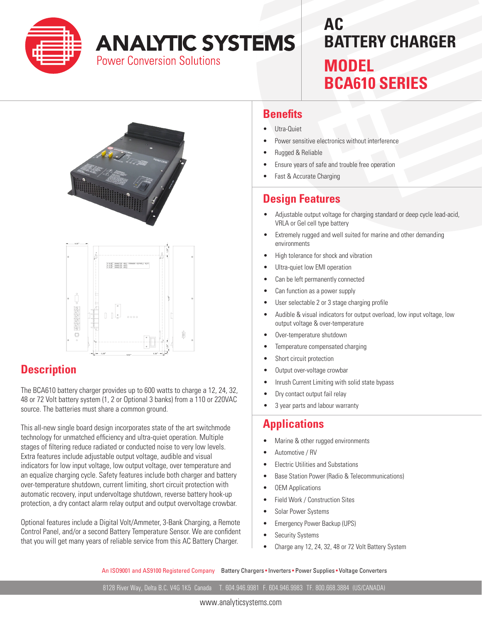

# **ANALYTIC SYSTEMS**

**Power Conversion Solutions** 

## **AC BATTERY CHARGER MODEL BCA610 SERIES**





#### **Description**

The BCA610 battery charger provides up to 600 watts to charge a 12, 24, 32, 48 or 72 Volt battery system (1, 2 or Optional 3 banks) from a 110 or 220VAC source. The batteries must share a common ground.

This all-new single board design incorporates state of the art switchmode technology for unmatched efficiency and ultra-quiet operation. Multiple stages of filtering reduce radiated or conducted noise to very low levels. Extra features include adjustable output voltage, audible and visual indicators for low input voltage, low output voltage, over temperature and an equalize charging cycle. Safety features include both charger and battery over-temperature shutdown, current limiting, short circuit protection with automatic recovery, input undervoltage shutdown, reverse battery hook-up protection, a dry contact alarm relay output and output overvoltage crowbar.

Optional features include a Digital Volt/Ammeter, 3-Bank Charging, a Remote Control Panel, and/or a second Battery Temperature Sensor. We are confident that you will get many years of reliable service from this AC Battery Charger.

#### **Benefits**

- Utra-Quiet
- Power sensitive electronics without interference
- Rugged & Reliable
- Ensure years of safe and trouble free operation
- Fast & Accurate Charging

#### **Design Features**

- • Adjustable output voltage for charging standard or deep cycle lead-acid, VRLA or Gel cell type battery
- Extremely rugged and well suited for marine and other demanding environments
- High tolerance for shock and vibration
- Ultra-quiet low EMI operation
- Can be left permanently connected
- Can function as a power supply
- User selectable 2 or 3 stage charging profile
- Audible & visual indicators for output overload, low input voltage, low output voltage & over-temperature
- Over-temperature shutdown
- Temperature compensated charging
- Short circuit protection
- Output over-voltage crowbar
- Inrush Current Limiting with solid state bypass
- Dry contact output fail relay
- 3 year parts and labour warranty

#### **Applications**

- Marine & other rugged environments
- Automotive / RV
- **Electric Utilities and Substations**
- **Base Station Power (Radio & Telecommunications)**
- **OEM Applications**
- Field Work / Construction Sites
- Solar Power Systems
- **Emergency Power Backup (UPS)**
- **Security Systems**
- Charge any 12, 24, 32, 48 or 72 Volt Battery System

An ISO9001 and AS9100 Registered Company Battery Chargers • Inverters • Power Supplies • Voltage Converters